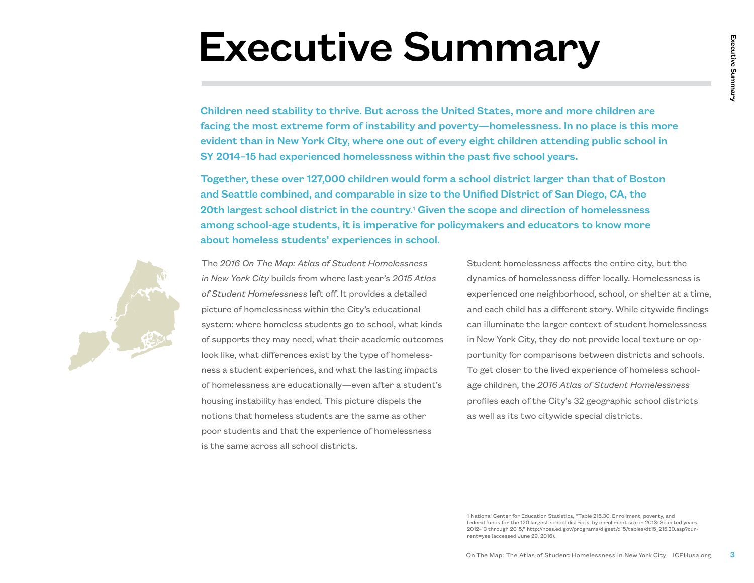## Executive Summary

Children need stability to thrive. But across the United States, more and more children are facing the most extreme form of instability and poverty—homelessness. In no place is this more evident than in New York City, where one out of every eight children attending public school in SY 2014–15 had experienced homelessness within the past five school years.

Together, these over 127,000 children would form a school district larger than that of Boston and Seattle combined, and comparable in size to the Unified District of San Diego, CA, the 20th largest school district in the country.<sup>1</sup> Given the scope and direction of homelessness among school-age students, it is imperative for policymakers and educators to know more about homeless students' experiences in school.



The *2016 On The Map: Atlas of Student Homelessness in New York City* builds from where last year's *2015 Atlas of Student Homelessness* left off. It provides a detailed picture of homelessness within the City's educational system: where homeless students go to school, what kinds of supports they may need, what their academic outcomes look like, what differences exist by the type of homelessness a student experiences, and what the lasting impacts of homelessness are educationally—even after a student's housing instability has ended. This picture dispels the notions that homeless students are the same as other poor students and that the experience of homelessness is the same across all school districts.

**MMMM**<br>
On States, more and more children are<br>
ty—homelessness. In no place is this more<br>
eight children attending public school in<br>
past five school years.<br>
Should District Larger than that of Boston<br>
Should District I ar Student homelessness affects the entire city, but the dynamics of homelessness differ locally. Homelessness is experienced one neighborhood, school, or shelter at a time, and each child has a different story. While citywide findings can illuminate the larger context of student homelessness in New York City, they do not provide local texture or opportunity for comparisons between districts and schools. To get closer to the lived experience of homeless schoolage children, the *2016 Atlas of Student Homelessness*  profiles each of the City's 32 geographic school districts as well as its two citywide special districts.

1 National Center for Education Statistics, "Table 215.30, Enrollment, poverty, and federal funds for the 120 largest school districts, by enrollment size in 2013: Selected years, 2012–13 through 2015," http://nces.ed.gov/programs/digest/d15/tables/dt15\_215.30.asp?current=yes (accessed June 29, 2016).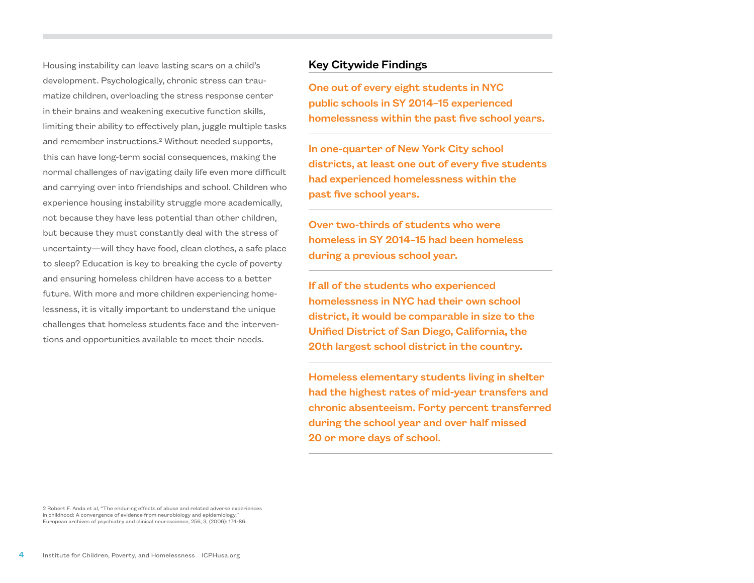Housing instability can leave lasting scars on a child's development. Psychologically, chronic stress can traumatize children, overloading the stress response center in their brains and weakening executive function skills, limiting their ability to effectively plan, juggle multiple tasks and remember instructions.<sup>2</sup> Without needed supports, this can have long-term social consequences, making the normal challenges of navigating daily life even more difficult and carrying over into friendships and school. Children who experience housing instability struggle more academically, not because they have less potential than other children, but because they must constantly deal with the stress of uncertainty—will they have food, clean clothes, a safe place to sleep? Education is key to breaking the cycle of poverty and ensuring homeless children have access to a better future. With more and more children experiencing homelessness, it is vitally important to understand the unique challenges that homeless students face and the interventions and opportunities available to meet their needs.

## Key Citywide Findings

One out of every eight students in NYC public schools in SY 2014–15 experienced homelessness within the past five school years.

In one-quarter of New York City school districts, at least one out of every five students had experienced homelessness within the past five school years.

Over two-thirds of students who were homeless in SY 2014–15 had been homeless during a previous school year.

If all of the students who experienced homelessness in NYC had their own school district, it would be comparable in size to the Unified District of San Diego, California, the 20th largest school district in the country.

Homeless elementary students living in shelter had the highest rates of mid-year transfers and chronic absenteeism. Forty percent transferred during the school year and over half missed 20 or more days of school.

2 Robert F. Anda et al, "The enduring effects of abuse and related adverse experiences in childhood: A convergence of evidence from neurobiology and epidemiology," European archives of psychiatry and clinical neuroscience, 256, 3, (2006): 174-86.